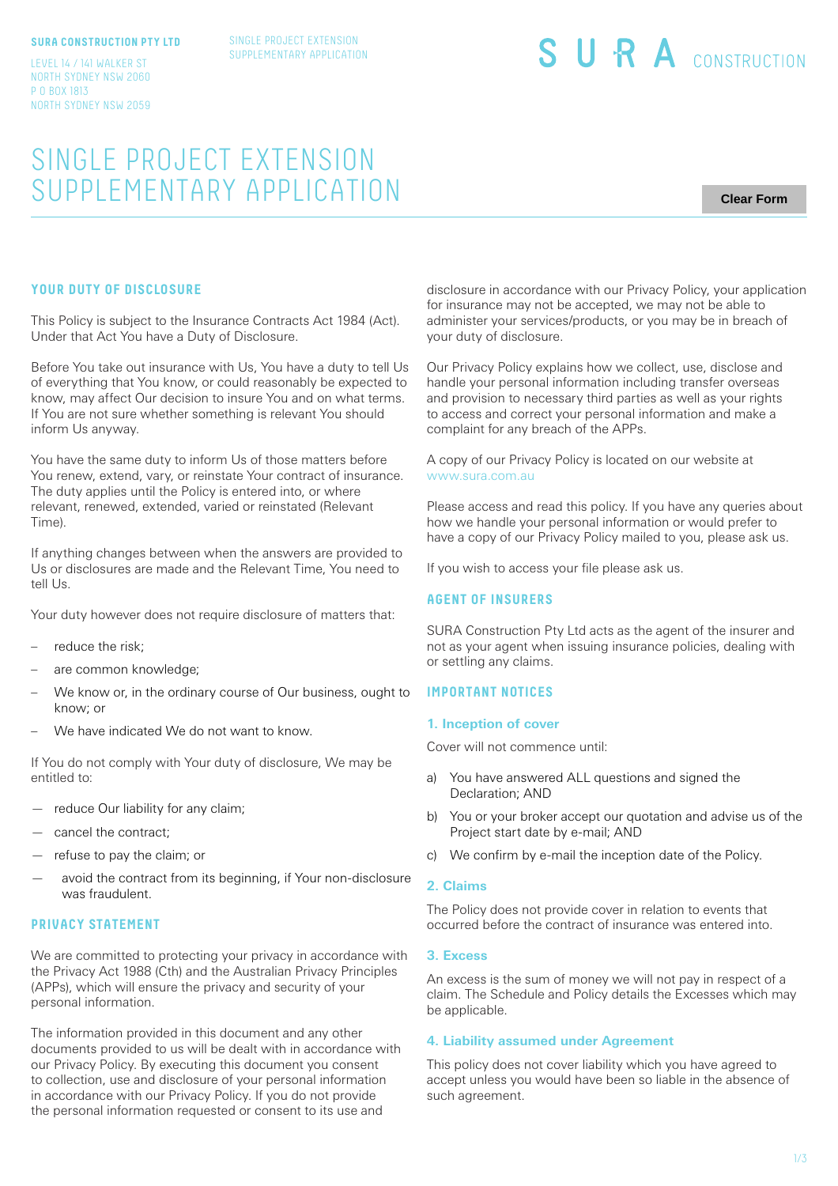#### **SURA CONSTRUCTION PTY LTD**

SINGLE PROJECT EXTENSION SUPPLEMENTARY APPLICATION

LEVEL 14 / 141 WALKER ST NORTH SYDNEY NSW 2060 P O BOX 1813 NORTH SYDNEY NSW 2059

# SINGLE PROJECT EXTENSION SUPPLEMENTARY APPLICATION

**Clear Form**

# **YOUR DUTY OF DISCLOSURE**

This Policy is subject to the Insurance Contracts Act 1984 (Act). Under that Act You have a Duty of Disclosure.

Before You take out insurance with Us, You have a duty to tell Us of everything that You know, or could reasonably be expected to know, may affect Our decision to insure You and on what terms. If You are not sure whether something is relevant You should inform Us anyway.

You have the same duty to inform Us of those matters before You renew, extend, vary, or reinstate Your contract of insurance. The duty applies until the Policy is entered into, or where relevant, renewed, extended, varied or reinstated (Relevant Time).

If anything changes between when the answers are provided to Us or disclosures are made and the Relevant Time, You need to tell Us.

Your duty however does not require disclosure of matters that:

- reduce the risk:
- are common knowledge;
- We know or, in the ordinary course of Our business, ought to know; or
- We have indicated We do not want to know.

If You do not comply with Your duty of disclosure, We may be entitled to:

- reduce Our liability for any claim;
- cancel the contract;
- refuse to pay the claim; or
- avoid the contract from its beginning, if Your non-disclosure was fraudulent.

# **PRIVACY STATEMENT**

We are committed to protecting your privacy in accordance with the Privacy Act 1988 (Cth) and the Australian Privacy Principles (APPs), which will ensure the privacy and security of your personal information.

The information provided in this document and any other documents provided to us will be dealt with in accordance with our Privacy Policy. By executing this document you consent to collection, use and disclosure of your personal information in accordance with our Privacy Policy. If you do not provide the personal information requested or consent to its use and

disclosure in accordance with our Privacy Policy, your application for insurance may not be accepted, we may not be able to administer your services/products, or you may be in breach of your duty of disclosure.

SURA CONSTRUCTION

Our Privacy Policy explains how we collect, use, disclose and handle your personal information including transfer overseas and provision to necessary third parties as well as your rights to access and correct your personal information and make a complaint for any breach of the APPs.

A copy of our Privacy Policy is located on our website at www.sura.com.au

Please access and read this policy. If you have any queries about how we handle your personal information or would prefer to have a copy of our Privacy Policy mailed to you, please ask us.

If you wish to access your file please ask us.

### **AGENT OF INSURERS**

SURA Construction Pty Ltd acts as the agent of the insurer and not as your agent when issuing insurance policies, dealing with or settling any claims.

# **IMPORTANT NOTICES**

#### **1. Inception of cover**

Cover will not commence until:

- a) You have answered ALL questions and signed the Declaration; AND
- b) You or your broker accept our quotation and advise us of the Project start date by e-mail; AND
- c) We confirm by e-mail the inception date of the Policy.

#### **2. Claims**

The Policy does not provide cover in relation to events that occurred before the contract of insurance was entered into.

#### **3. Excess**

An excess is the sum of money we will not pay in respect of a claim. The Schedule and Policy details the Excesses which may be applicable.

# **4. Liability assumed under Agreement**

This policy does not cover liability which you have agreed to accept unless you would have been so liable in the absence of such agreement.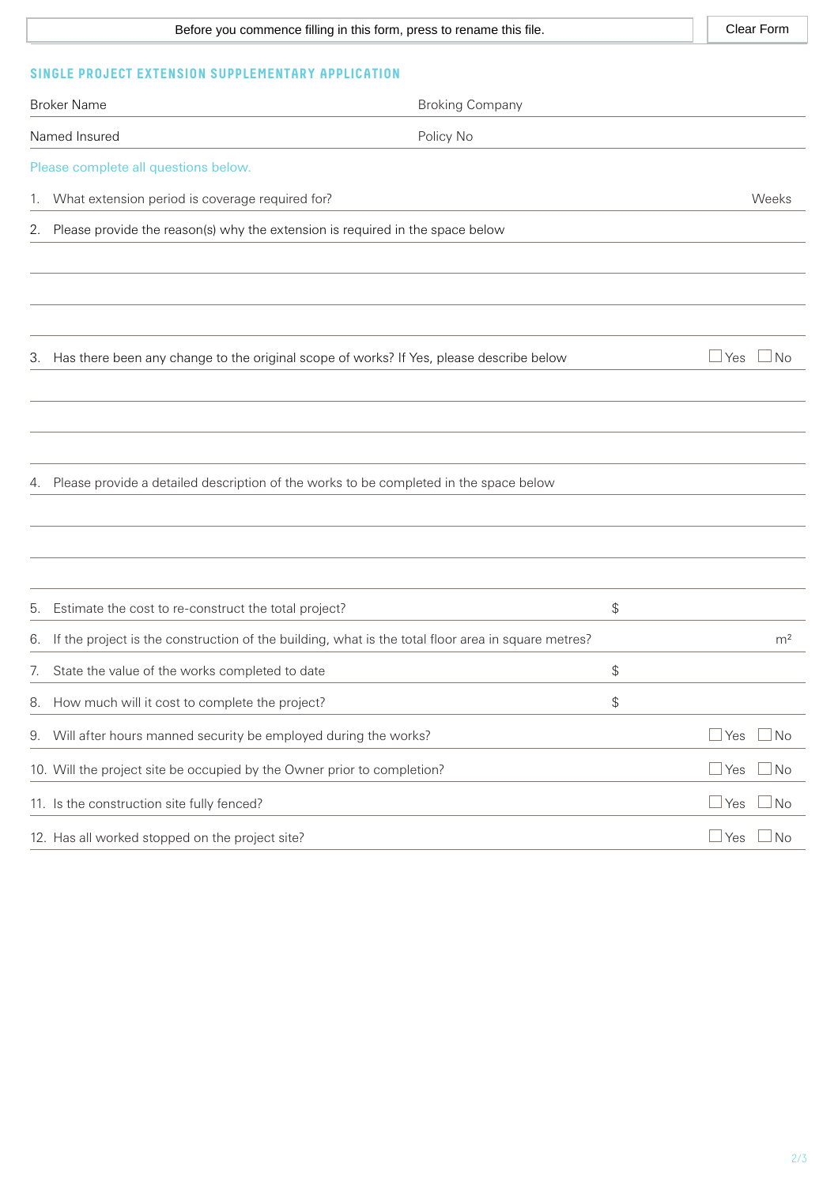| Before you commence filling in this form, press to rename this file. | Clear Form |
|----------------------------------------------------------------------|------------|
|                                                                      |            |

# **SINGLE PROJECT EXTENSION SUPPLEMENTARY APPLICATION**

| <b>Broker Name</b>                                                                                       | <b>Broking Company</b> |                              |
|----------------------------------------------------------------------------------------------------------|------------------------|------------------------------|
| Named Insured                                                                                            | Policy No              |                              |
| Please complete all questions below.                                                                     |                        |                              |
| What extension period is coverage required for?<br>1.                                                    |                        | Weeks                        |
| Please provide the reason(s) why the extension is required in the space below<br>2.                      |                        |                              |
| Has there been any change to the original scope of works? If Yes, please describe below<br>3.            |                        | $\Box$ Yes<br>N <sub>o</sub> |
|                                                                                                          |                        |                              |
| Please provide a detailed description of the works to be completed in the space below<br>4.              |                        |                              |
| Estimate the cost to re-construct the total project?<br>5.                                               | \$                     |                              |
| If the project is the construction of the building, what is the total floor area in square metres?<br>6. |                        | m <sup>2</sup>               |
| State the value of the works completed to date<br>7.                                                     | \$                     |                              |
| 8. How much will it cost to complete the project?                                                        | \$                     |                              |
| 9. Will after hours manned security be employed during the works?                                        |                        | $\Box$ Yes<br>$\Box$ No      |
| 10. Will the project site be occupied by the Owner prior to completion?                                  |                        | $\Box$ No<br>$\Box$ Yes      |
| 11. Is the construction site fully fenced?                                                               |                        | $\Box$ No<br>$\Box$ Yes      |
| 12. Has all worked stopped on the project site?                                                          |                        | $\exists$ No<br>∫ Yes        |